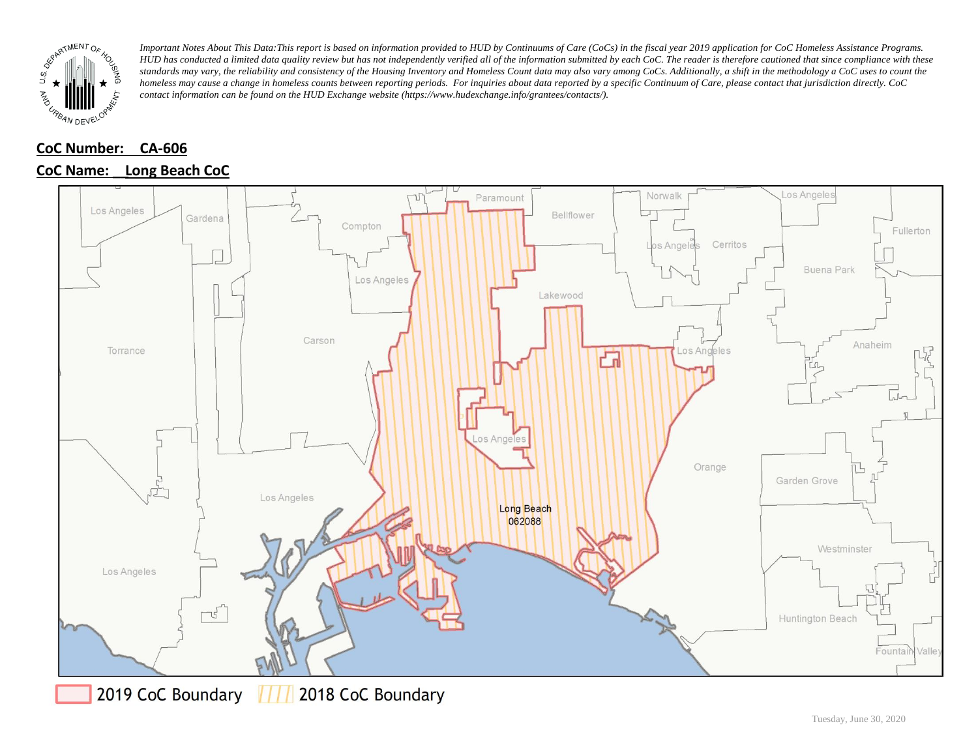

### **CoC Number: CA-606**

#### **CoC Name: \_\_ Long Beach CoC**



2019 CoC Boundary 2018 CoC Boundary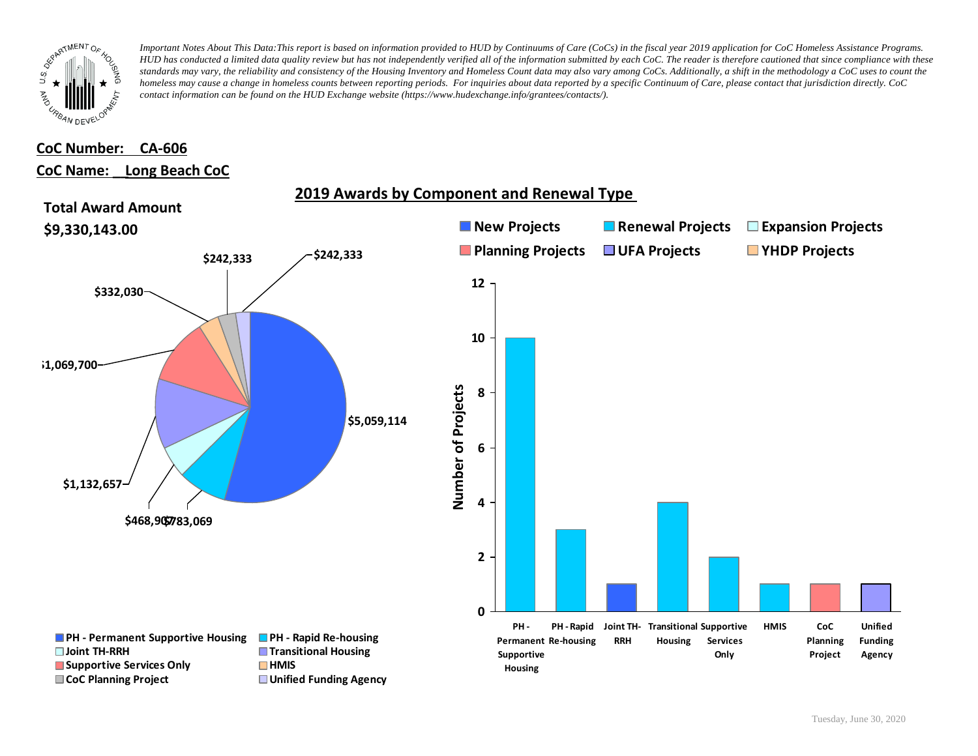

## **CoC Number: CA-606 CoC Name: \_\_ Long Beach CoC**

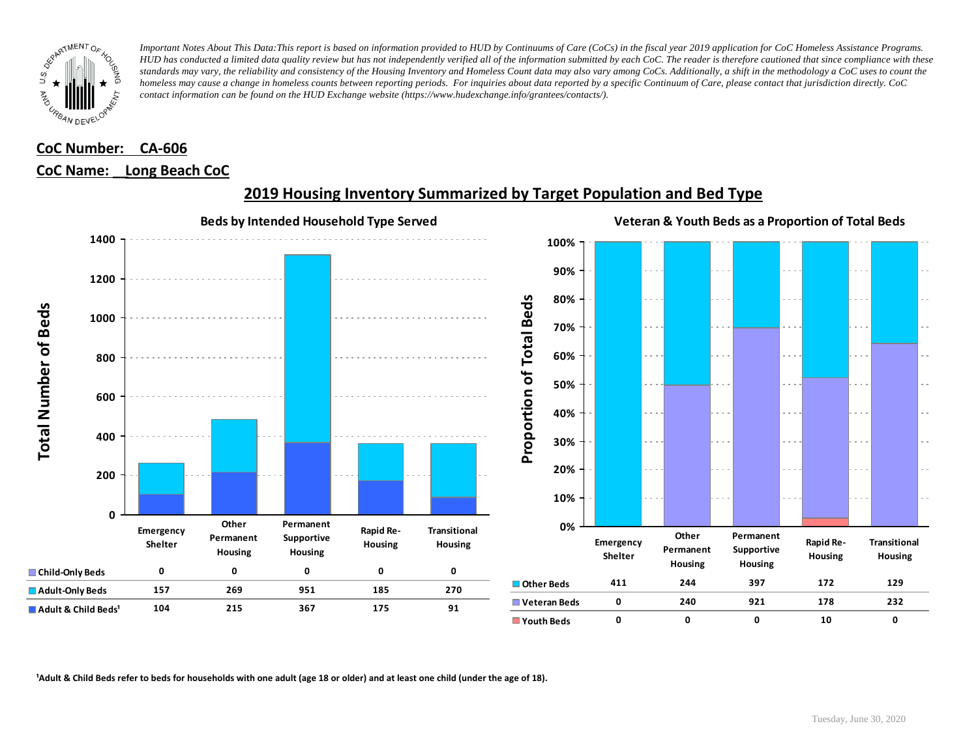

## **CoC Number: CA-606 CoC Name: \_\_ Long Beach CoC**



### **2019 Housing Inventory Summarized by Target Population and Bed Type**

<sup>1</sup> Adult & Child Beds refer to beds for households with one adult (age 18 or older) and at least one child (under the age of 18).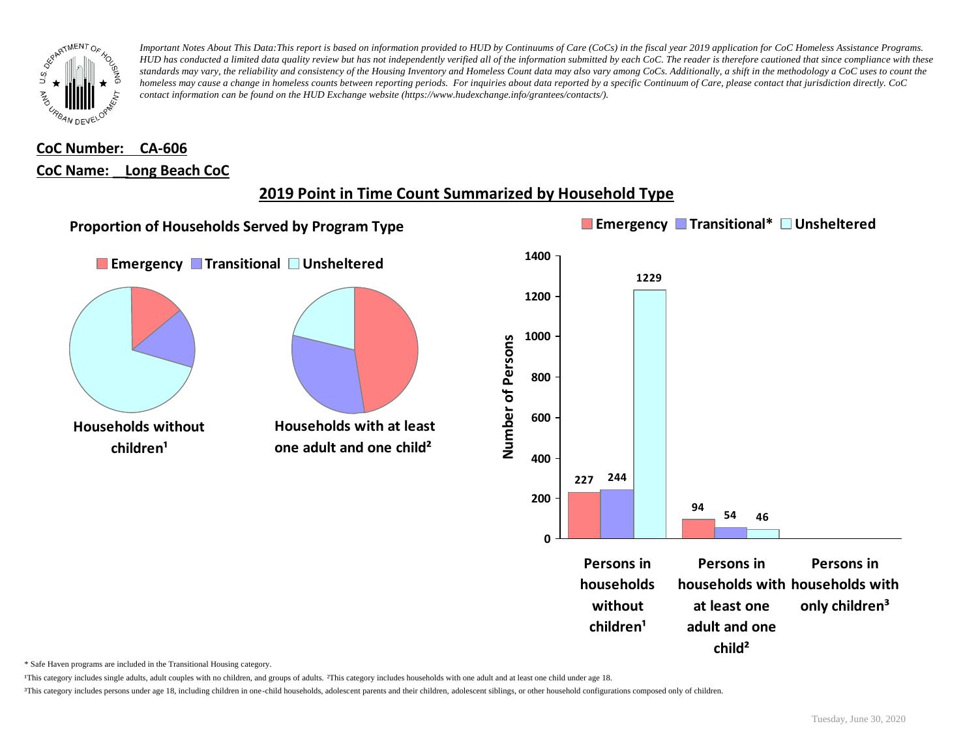

## **CoC Number: CA-606 CoC Name: \_\_ Long Beach CoC**

# **2019 Point in Time Count Summarized by Household Type**



\* Safe Haven programs are included in the Transitional Housing category.

¹This category includes single adults, adult couples with no children, and groups of adults. ²This category includes households with one adult and at least one child under age 18.

³This category includes persons under age 18, including children in one-child households, adolescent parents and their children, adolescent siblings, or other household configurations composed only of children.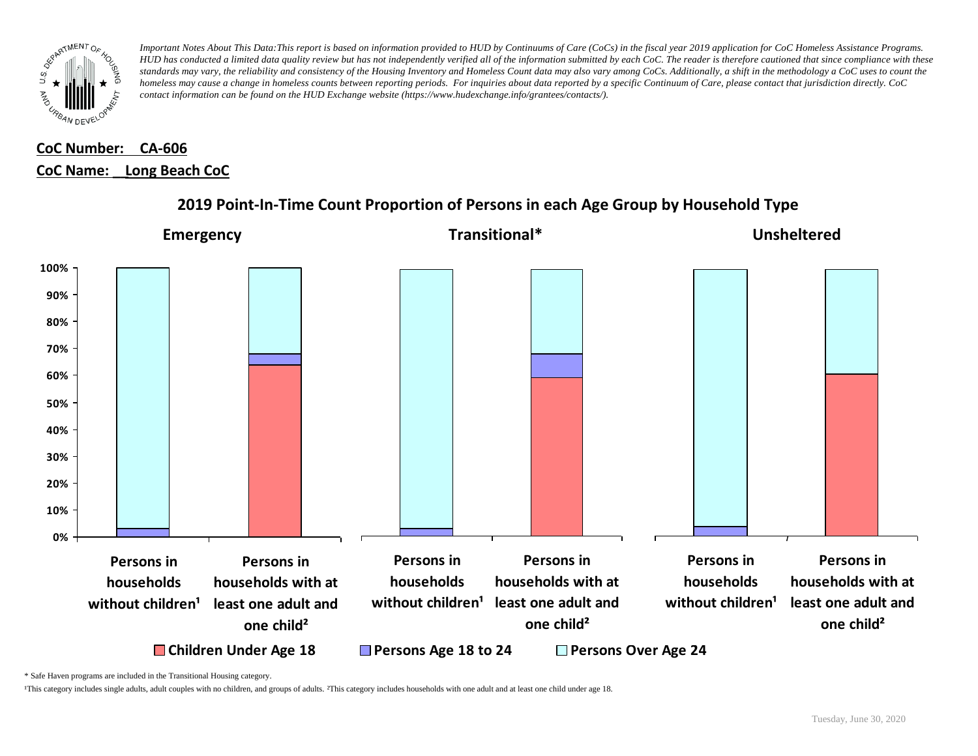

# **CoC Number: CA-606 CoC Name: \_\_ Long Beach CoC**



### **2019 Point-In-Time Count Proportion of Persons in each Age Group by Household Type**

\* Safe Haven programs are included in the Transitional Housing category.

¹This category includes single adults, adult couples with no children, and groups of adults. ²This category includes households with one adult and at least one child under age 18.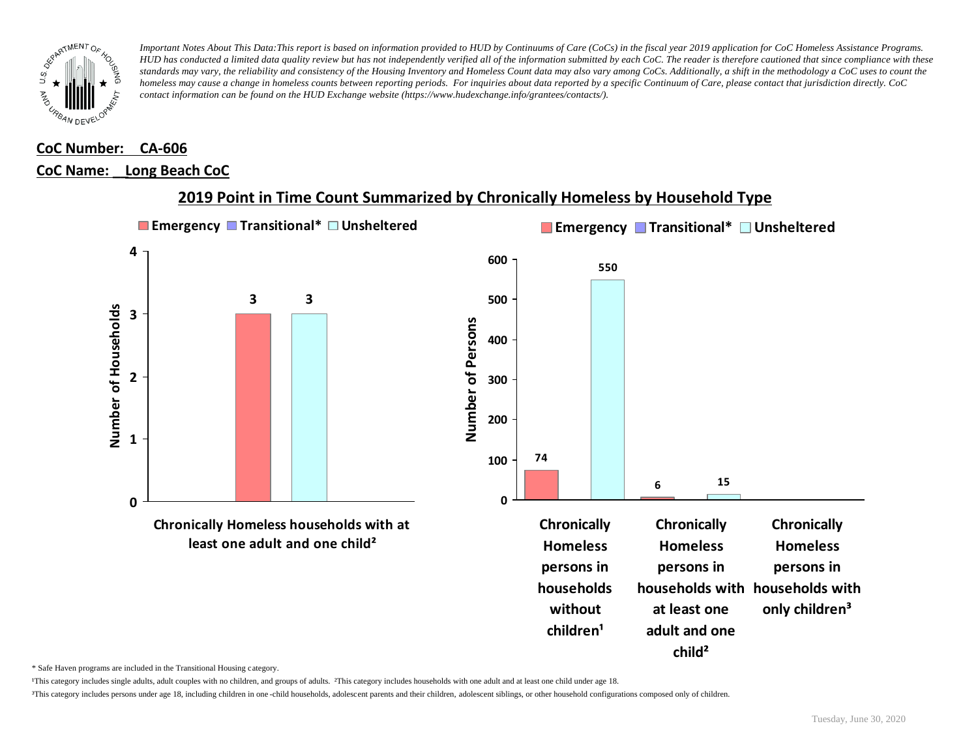

### **CoC Number: CA-606 CoC Name: \_\_ Long Beach CoC**



### **2019 Point in Time Count Summarized by Chronically Homeless by Household Type**

\* Safe Haven programs are included in the Transitional Housing category.

¹This category includes single adults, adult couples with no children, and groups of adults. ²This category includes households with one adult and at least one child under age 18.

³This category includes persons under age 18, including children in one -child households, adolescent parents and their children, adolescent siblings, or other household configurations composed only of children.